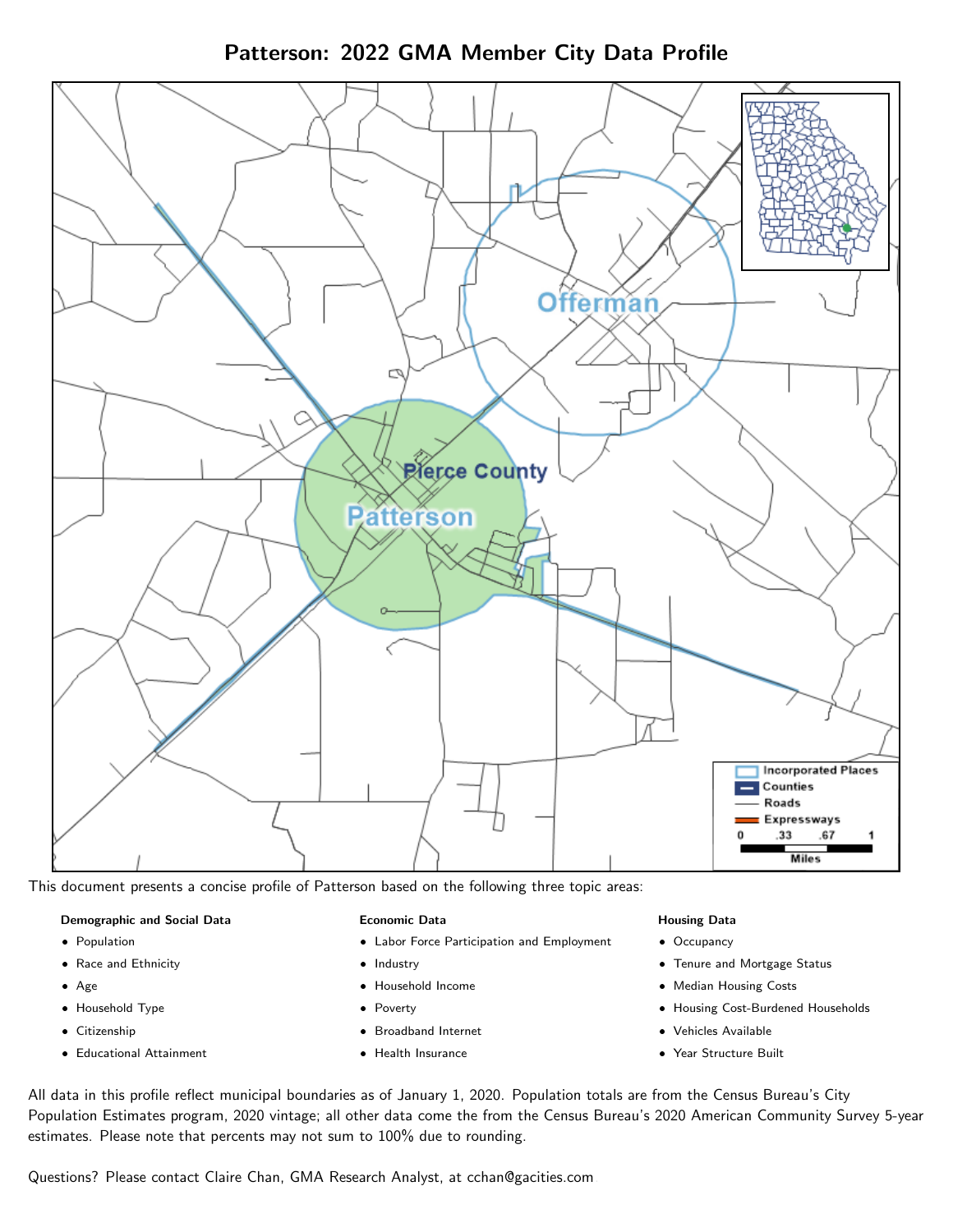Patterson: 2022 GMA Member City Data Profile



This document presents a concise profile of Patterson based on the following three topic areas:

### Demographic and Social Data

- **•** Population
- Race and Ethnicity
- Age
- Household Type
- **Citizenship**
- Educational Attainment

#### Economic Data

- Labor Force Participation and Employment
- Industry
- Household Income
- Poverty
- Broadband Internet
- Health Insurance

### Housing Data

- Occupancy
- Tenure and Mortgage Status
- Median Housing Costs
- Housing Cost-Burdened Households
- Vehicles Available
- Year Structure Built

All data in this profile reflect municipal boundaries as of January 1, 2020. Population totals are from the Census Bureau's City Population Estimates program, 2020 vintage; all other data come the from the Census Bureau's 2020 American Community Survey 5-year estimates. Please note that percents may not sum to 100% due to rounding.

Questions? Please contact Claire Chan, GMA Research Analyst, at [cchan@gacities.com.](mailto:cchan@gacities.com)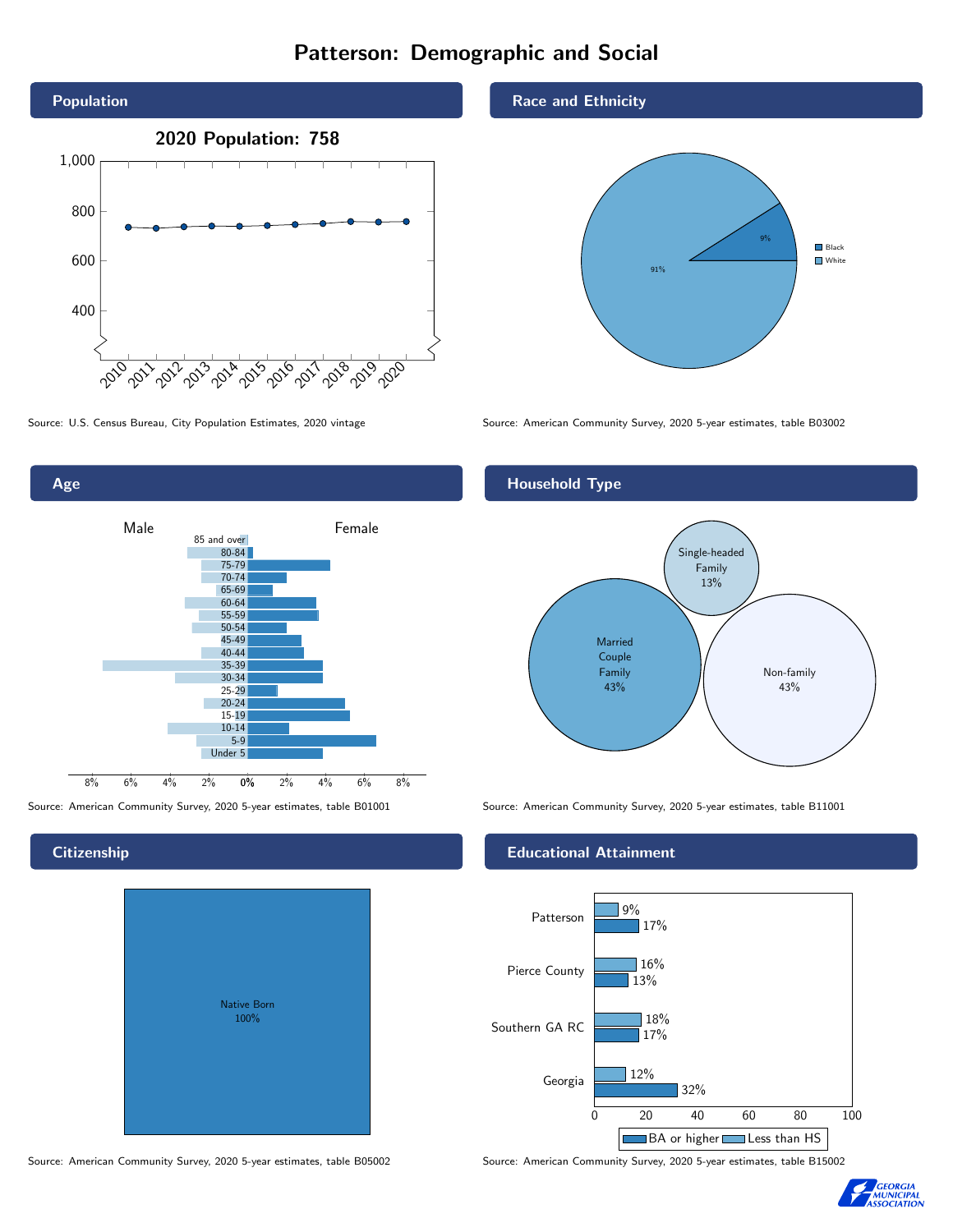# Patterson: Demographic and Social





## **Citizenship**

| <b>Native Born</b><br>100% |  |
|----------------------------|--|

Race and Ethnicity



Source: U.S. Census Bureau, City Population Estimates, 2020 vintage Source: American Community Survey, 2020 5-year estimates, table B03002

## Household Type



Source: American Community Survey, 2020 5-year estimates, table B01001 Source: American Community Survey, 2020 5-year estimates, table B11001

### Educational Attainment



Source: American Community Survey, 2020 5-year estimates, table B05002 Source: American Community Survey, 2020 5-year estimates, table B15002

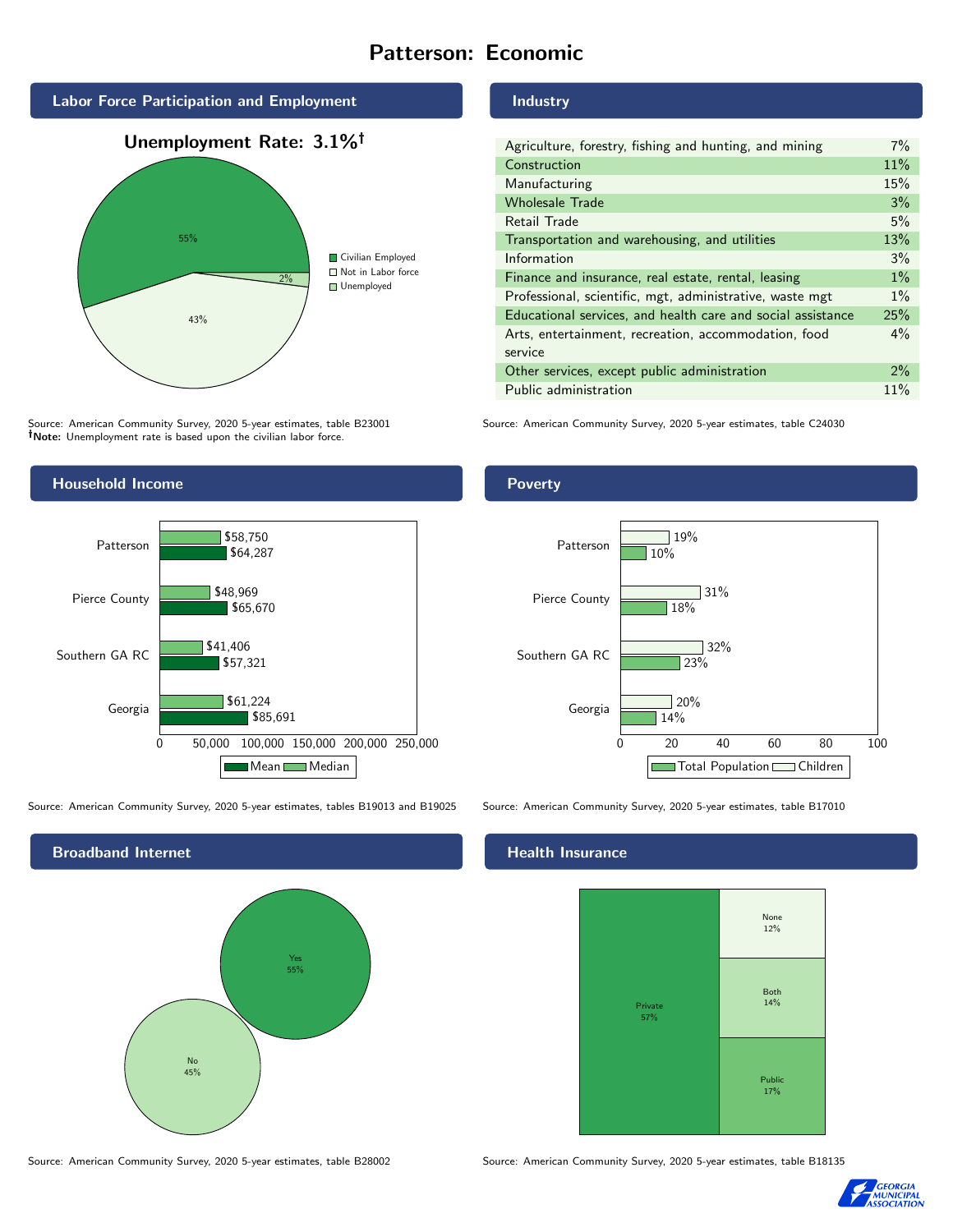# Patterson: Economic



Source: American Community Survey, 2020 5-year estimates, table B23001 Note: Unemployment rate is based upon the civilian labor force.



Source: American Community Survey, 2020 5-year estimates, tables B19013 and B19025 Source: American Community Survey, 2020 5-year estimates, table B17010



#### Industry

| Agriculture, forestry, fishing and hunting, and mining      | $7\%$ |
|-------------------------------------------------------------|-------|
| Construction                                                | 11%   |
| Manufacturing                                               | 15%   |
| <b>Wholesale Trade</b>                                      | 3%    |
| Retail Trade                                                | 5%    |
| Transportation and warehousing, and utilities               | 13%   |
| Information                                                 | 3%    |
| Finance and insurance, real estate, rental, leasing         | $1\%$ |
| Professional, scientific, mgt, administrative, waste mgt    | $1\%$ |
| Educational services, and health care and social assistance |       |
| Arts, entertainment, recreation, accommodation, food        |       |
| service                                                     |       |
| Other services, except public administration                | $2\%$ |
| Public administration                                       | 11%   |

Source: American Community Survey, 2020 5-year estimates, table C24030

## Poverty



## **Health Insurance**



Source: American Community Survey, 2020 5-year estimates, table B28002 Source: American Community Survey, 2020 5-year estimates, table B18135